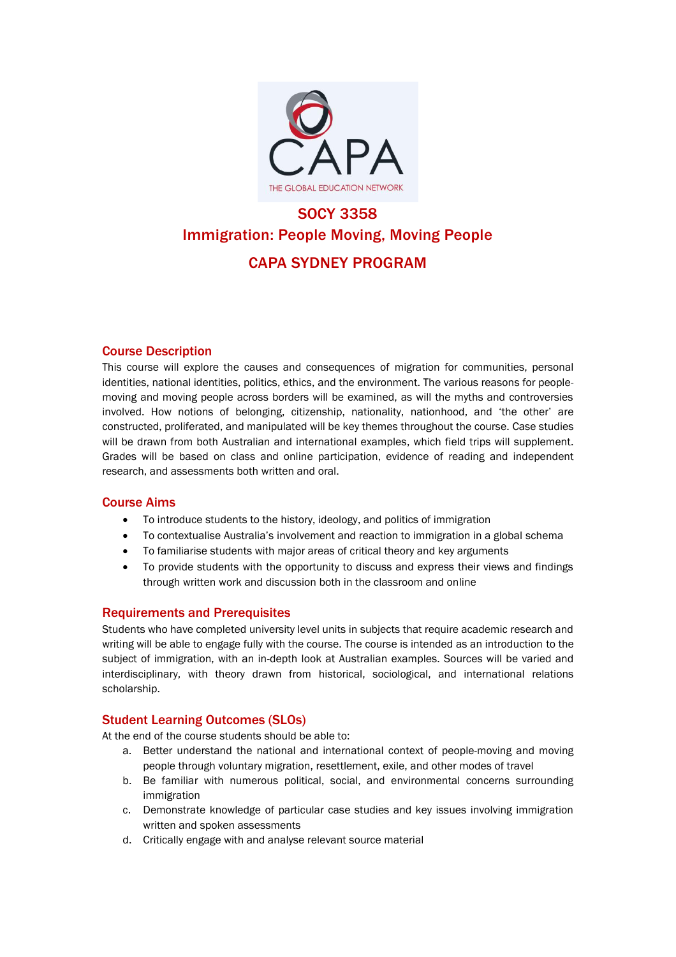

# SOCY 3358 Immigration: People Moving, Moving People CAPA SYDNEY PROGRAM

# Course Description

This course will explore the causes and consequences of migration for communities, personal identities, national identities, politics, ethics, and the environment. The various reasons for peoplemoving and moving people across borders will be examined, as will the myths and controversies involved. How notions of belonging, citizenship, nationality, nationhood, and 'the other' are constructed, proliferated, and manipulated will be key themes throughout the course. Case studies will be drawn from both Australian and international examples, which field trips will supplement. Grades will be based on class and online participation, evidence of reading and independent research, and assessments both written and oral.

# Course Aims

- To introduce students to the history, ideology, and politics of immigration
- To contextualise Australia's involvement and reaction to immigration in a global schema
- To familiarise students with major areas of critical theory and key arguments
- To provide students with the opportunity to discuss and express their views and findings through written work and discussion both in the classroom and online

# Requirements and Prerequisites

Students who have completed university level units in subjects that require academic research and writing will be able to engage fully with the course. The course is intended as an introduction to the subject of immigration, with an in-depth look at Australian examples. Sources will be varied and interdisciplinary, with theory drawn from historical, sociological, and international relations scholarship.

# Student Learning Outcomes (SLOs)

At the end of the course students should be able to:

- a. Better understand the national and international context of people-moving and moving people through voluntary migration, resettlement, exile, and other modes of travel
- b. Be familiar with numerous political, social, and environmental concerns surrounding immigration
- c. Demonstrate knowledge of particular case studies and key issues involving immigration written and spoken assessments
- d. Critically engage with and analyse relevant source material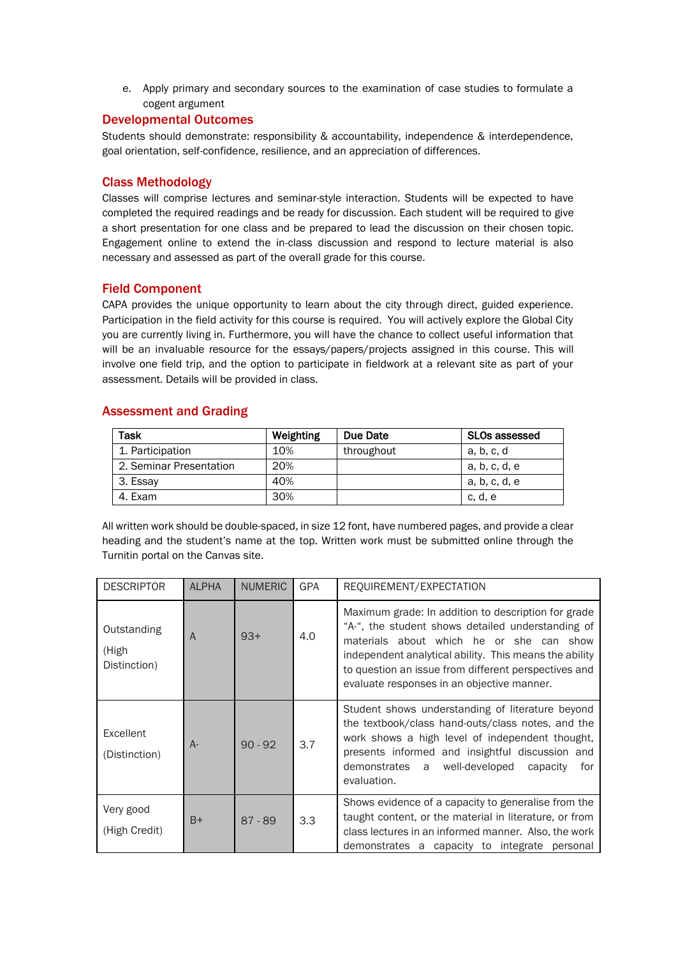e. Apply primary and secondary sources to the examination of case studies to formulate a cogent argument

# Developmental Outcomes

Students should demonstrate: responsibility & accountability, independence & interdependence, goal orientation, self-confidence, resilience, and an appreciation of differences.

## Class Methodology

Classes will comprise lectures and seminar-style interaction. Students will be expected to have completed the required readings and be ready for discussion. Each student will be required to give a short presentation for one class and be prepared to lead the discussion on their chosen topic. Engagement online to extend the in-class discussion and respond to lecture material is also necessary and assessed as part of the overall grade for this course.

## Field Component

CAPA provides the unique opportunity to learn about the city through direct, guided experience. Participation in the field activity for this course is required. You will actively explore the Global City you are currently living in. Furthermore, you will have the chance to collect useful information that will be an invaluable resource for the essays/papers/projects assigned in this course. This will involve one field trip, and the option to participate in fieldwork at a relevant site as part of your assessment. Details will be provided in class.

## Assessment and Grading

| Task                    | Weighting | Due Date   | SLOs assessed |
|-------------------------|-----------|------------|---------------|
| 1. Participation        | 10%       | throughout | a, b, c, d    |
| 2. Seminar Presentation | 20%       |            | a, b, c, d, e |
| 3. Essay                | 40%       |            | a, b, c, d, e |
| 4. Exam                 | 30%       |            | c. d. e       |

All written work should be double-spaced, in size 12 font, have numbered pages, and provide a clear heading and the student's name at the top. Written work must be submitted online through the Turnitin portal on the Canvas site.

| <b>DESCRIPTOR</b>                    | <b>ALPHA</b> | <b>NUMERIC</b> | <b>GPA</b> | REQUIREMENT/EXPECTATION                                                                                                                                                                                                                                                                                              |
|--------------------------------------|--------------|----------------|------------|----------------------------------------------------------------------------------------------------------------------------------------------------------------------------------------------------------------------------------------------------------------------------------------------------------------------|
| Outstanding<br>(High<br>Distinction) | A            | $93+$          | 4.0        | Maximum grade: In addition to description for grade<br>"A-", the student shows detailed understanding of<br>materials about which he or she can show<br>independent analytical ability. This means the ability<br>to question an issue from different perspectives and<br>evaluate responses in an objective manner. |
| Excellent<br>(Distinction)           | $A-$         | $90 - 92$      | 3.7        | Student shows understanding of literature beyond<br>the textbook/class hand-outs/class notes, and the<br>work shows a high level of independent thought,<br>presents informed and insightful discussion and<br>demonstrates<br>well-developed<br>capacity<br>for<br>a<br>evaluation.                                 |
| Very good<br>(High Credit)           | $B+$         | $87 - 89$      | 3.3        | Shows evidence of a capacity to generalise from the<br>taught content, or the material in literature, or from<br>class lectures in an informed manner. Also, the work<br>demonstrates a capacity to integrate personal                                                                                               |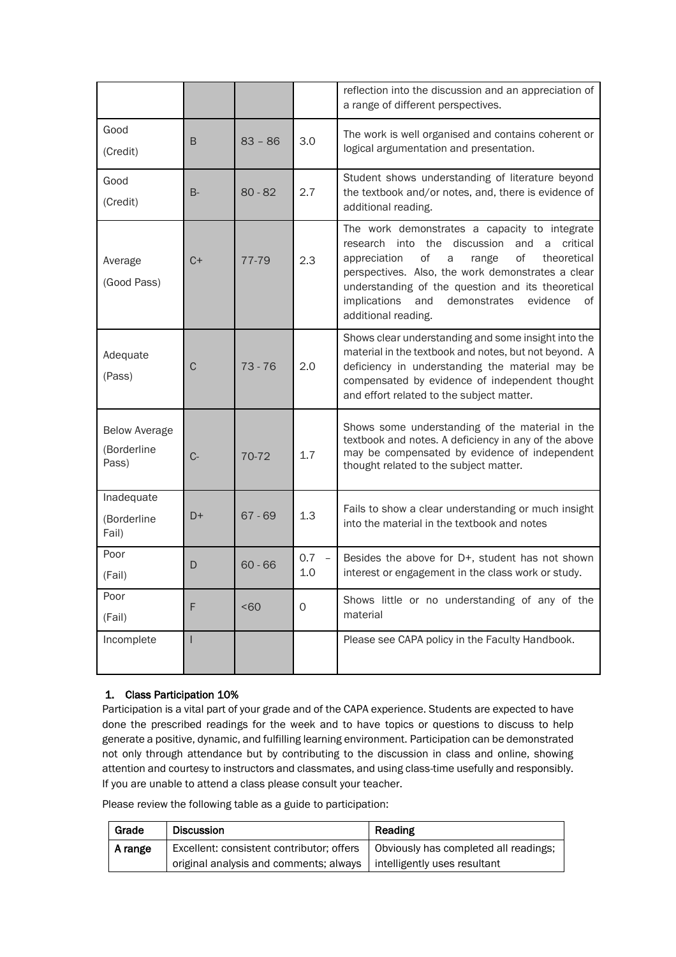|                                              |       |           |                | reflection into the discussion and an appreciation of<br>a range of different perspectives.                                                                                                                                                                                                                                                                    |
|----------------------------------------------|-------|-----------|----------------|----------------------------------------------------------------------------------------------------------------------------------------------------------------------------------------------------------------------------------------------------------------------------------------------------------------------------------------------------------------|
| Good<br>(Credit)                             | B     | $83 - 86$ | 3.0            | The work is well organised and contains coherent or<br>logical argumentation and presentation.                                                                                                                                                                                                                                                                 |
| Good<br>(Credit)                             | $B -$ | $80 - 82$ | 2.7            | Student shows understanding of literature beyond<br>the textbook and/or notes, and, there is evidence of<br>additional reading.                                                                                                                                                                                                                                |
| Average<br>(Good Pass)                       | $C+$  | 77-79     | 2.3            | The work demonstrates a capacity to integrate<br>into the<br>discussion<br>and<br>critical<br>research<br>a<br>οf<br>οf<br>appreciation<br>theoretical<br>a<br>range<br>perspectives. Also, the work demonstrates a clear<br>understanding of the question and its theoretical<br>implications<br>and<br>demonstrates<br>evidence<br>οf<br>additional reading. |
| Adequate<br>(Pass)                           | C     | $73 - 76$ | 2.0            | Shows clear understanding and some insight into the<br>material in the textbook and notes, but not beyond. A<br>deficiency in understanding the material may be<br>compensated by evidence of independent thought<br>and effort related to the subject matter.                                                                                                 |
| <b>Below Average</b><br>(Borderline<br>Pass) | $C-$  | 70-72     | 1.7            | Shows some understanding of the material in the<br>textbook and notes. A deficiency in any of the above<br>may be compensated by evidence of independent<br>thought related to the subject matter.                                                                                                                                                             |
| Inadequate<br>(Borderline<br>Fail)           | D+    | $67 - 69$ | 1.3            | Fails to show a clear understanding or much insight<br>into the material in the textbook and notes                                                                                                                                                                                                                                                             |
| Poor<br>(Fail)                               | D     | $60 - 66$ | $0.7 -$<br>1.0 | Besides the above for D+, student has not shown<br>interest or engagement in the class work or study.                                                                                                                                                                                                                                                          |
| Poor<br>(Fail)                               | F     | < 60      | $\mathbf 0$    | Shows little or no understanding of any of the<br>material                                                                                                                                                                                                                                                                                                     |
| Incomplete                                   |       |           |                | Please see CAPA policy in the Faculty Handbook.                                                                                                                                                                                                                                                                                                                |

# 1. Class Participation 10%

Participation is a vital part of your grade and of the CAPA experience. Students are expected to have done the prescribed readings for the week and to have topics or questions to discuss to help generate a positive, dynamic, and fulfilling learning environment. Participation can be demonstrated not only through attendance but by contributing to the discussion in class and online, showing attention and courtesy to instructors and classmates, and using class-time usefully and responsibly. If you are unable to attend a class please consult your teacher.

Please review the following table as a guide to participation:

| Grade   | <b>Discussion</b>                                                     | Reading                               |
|---------|-----------------------------------------------------------------------|---------------------------------------|
| A range | Excellent: consistent contributor; offers                             | Obviously has completed all readings; |
|         | original analysis and comments; always   intelligently uses resultant |                                       |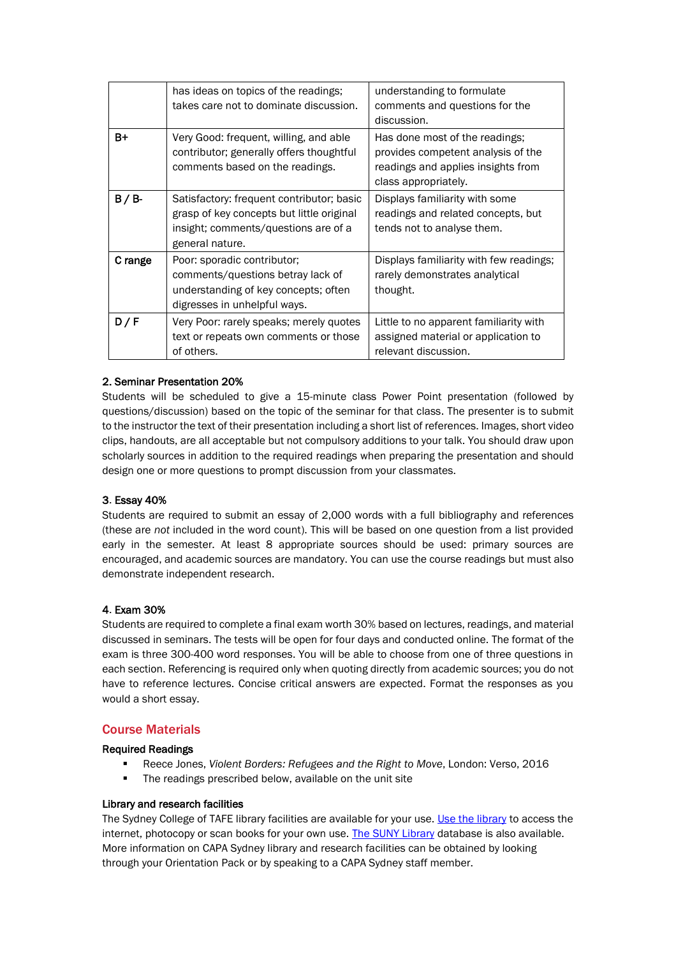|         | has ideas on topics of the readings;<br>takes care not to dominate discussion.                                                                    | understanding to formulate<br>comments and questions for the<br>discussion.                                                        |
|---------|---------------------------------------------------------------------------------------------------------------------------------------------------|------------------------------------------------------------------------------------------------------------------------------------|
| $B+$    | Very Good: frequent, willing, and able<br>contributor; generally offers thoughtful<br>comments based on the readings.                             | Has done most of the readings;<br>provides competent analysis of the<br>readings and applies insights from<br>class appropriately. |
| B / B   | Satisfactory: frequent contributor; basic<br>grasp of key concepts but little original<br>insight; comments/questions are of a<br>general nature. | Displays familiarity with some<br>readings and related concepts, but<br>tends not to analyse them.                                 |
| C range | Poor: sporadic contributor;<br>comments/questions betray lack of<br>understanding of key concepts; often<br>digresses in unhelpful ways.          | Displays familiarity with few readings;<br>rarely demonstrates analytical<br>thought.                                              |
| D/F     | Very Poor: rarely speaks; merely quotes<br>text or repeats own comments or those<br>of others.                                                    | Little to no apparent familiarity with<br>assigned material or application to<br>relevant discussion.                              |

# 2. Seminar Presentation 20%

Students will be scheduled to give a 15-minute class Power Point presentation (followed by questions/discussion) based on the topic of the seminar for that class. The presenter is to submit to the instructor the text of their presentation including a short list of references. Images, short video clips, handouts, are all acceptable but not compulsory additions to your talk. You should draw upon scholarly sources in addition to the required readings when preparing the presentation and should design one or more questions to prompt discussion from your classmates.

# 3. Essay 40%

Students are required to submit an essay of 2,000 words with a full bibliography and references (these are *not* included in the word count). This will be based on one question from a list provided early in the semester. At least 8 appropriate sources should be used: primary sources are encouraged, and academic sources are mandatory. You can use the course readings but must also demonstrate independent research.

# 4. Exam 30%

Students are required to complete a final exam worth 30% based on lectures, readings, and material discussed in seminars. The tests will be open for four days and conducted online. The format of the exam is three 300-400 word responses. You will be able to choose from one of three questions in each section. Referencing is required only when quoting directly from academic sources; you do not have to reference lectures. Concise critical answers are expected. Format the responses as you would a short essay.

# Course Materials

# Required Readings

- Reece Jones, *Violent Borders: Refugees and the Right to Move*, London: Verso, 2016
- The readings prescribed below, available on the unit site

#### Library and research facilities

The Sydney College of TAFE library facilities are available for your use. [Use the library](http://sydneytafe.edu.au/library-online) to access the internet, photocopy or scan books for your own use. [The SUNY Library](file:///C:/Users/JuliaMiller/AppData/Local/Microsoft/Windows/INetCache/Content.Outlook/4ST8T330/libraryguides.oswego.edu/capa) database is also available. More information on CAPA Sydney library and research facilities can be obtained by looking through your Orientation Pack or by speaking to a CAPA Sydney staff member.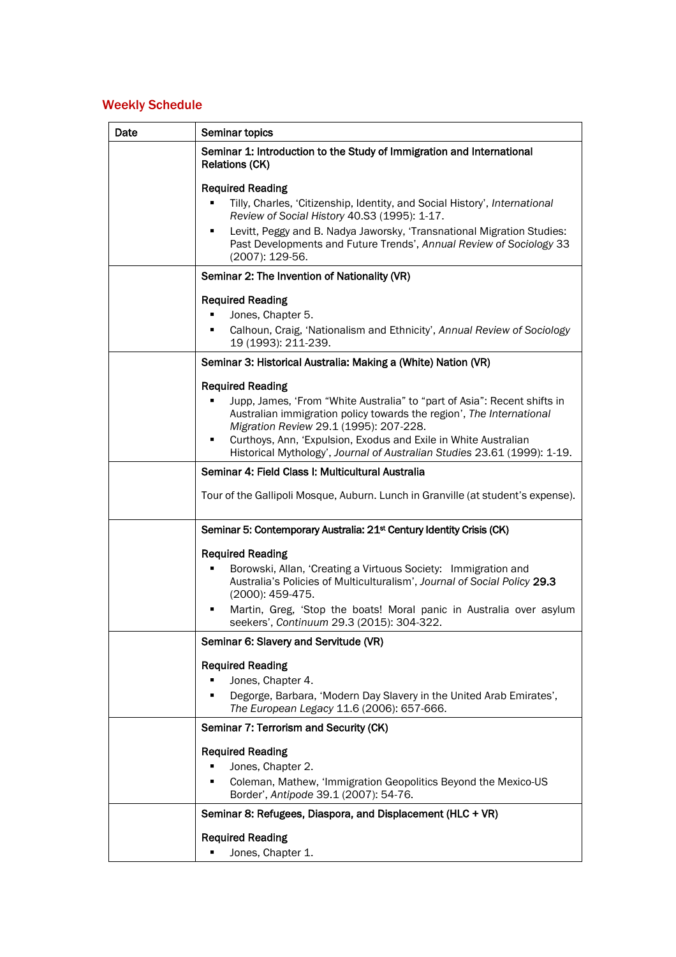# Weekly Schedule

| Date | Seminar topics                                                                                                                                                                                                                                                                                                                                                            |
|------|---------------------------------------------------------------------------------------------------------------------------------------------------------------------------------------------------------------------------------------------------------------------------------------------------------------------------------------------------------------------------|
|      | Seminar 1: Introduction to the Study of Immigration and International<br><b>Relations (CK)</b>                                                                                                                                                                                                                                                                            |
|      | <b>Required Reading</b><br>Tilly, Charles, 'Citizenship, Identity, and Social History', International<br>Review of Social History 40.S3 (1995): 1-17.<br>Levitt, Peggy and B. Nadya Jaworsky, 'Transnational Migration Studies:<br>٠<br>Past Developments and Future Trends', Annual Review of Sociology 33<br>(2007): 129-56.                                            |
|      | Seminar 2: The Invention of Nationality (VR)                                                                                                                                                                                                                                                                                                                              |
|      | <b>Required Reading</b><br>Jones, Chapter 5.<br>Calhoun, Craig, 'Nationalism and Ethnicity', Annual Review of Sociology<br>19 (1993): 211-239.                                                                                                                                                                                                                            |
|      | Seminar 3: Historical Australia: Making a (White) Nation (VR)                                                                                                                                                                                                                                                                                                             |
|      | <b>Required Reading</b><br>Jupp, James, 'From "White Australia" to "part of Asia": Recent shifts in<br>Australian immigration policy towards the region', The International<br>Migration Review 29.1 (1995): 207-228.<br>Curthoys, Ann, 'Expulsion, Exodus and Exile in White Australian<br>٠<br>Historical Mythology', Journal of Australian Studies 23.61 (1999): 1-19. |
|      | Seminar 4: Field Class I: Multicultural Australia                                                                                                                                                                                                                                                                                                                         |
|      | Tour of the Gallipoli Mosque, Auburn. Lunch in Granville (at student's expense).                                                                                                                                                                                                                                                                                          |
|      | Seminar 5: Contemporary Australia: 21 <sup>st</sup> Century Identity Crisis (CK)                                                                                                                                                                                                                                                                                          |
|      | <b>Required Reading</b><br>Borowski, Allan, 'Creating a Virtuous Society: Immigration and<br>٠<br>Australia's Policies of Multiculturalism', Journal of Social Policy 29.3<br>(2000): 459-475.<br>Martin, Greg, 'Stop the boats! Moral panic in Australia over asylum<br>٠<br>seekers', Continuum 29.3 (2015): 304-322.                                                   |
|      | Seminar 6: Slavery and Servitude (VR)                                                                                                                                                                                                                                                                                                                                     |
|      | <b>Required Reading</b><br>Jones, Chapter 4.<br>Degorge, Barbara, 'Modern Day Slavery in the United Arab Emirates',<br>The European Legacy 11.6 (2006): 657-666.                                                                                                                                                                                                          |
|      | Seminar 7: Terrorism and Security (CK)                                                                                                                                                                                                                                                                                                                                    |
|      | <b>Required Reading</b><br>Jones, Chapter 2.<br>Coleman, Mathew, 'Immigration Geopolitics Beyond the Mexico-US<br>٠<br>Border', Antipode 39.1 (2007): 54-76.                                                                                                                                                                                                              |
|      | Seminar 8: Refugees, Diaspora, and Displacement (HLC + VR)                                                                                                                                                                                                                                                                                                                |
|      | <b>Required Reading</b><br>Jones, Chapter 1.                                                                                                                                                                                                                                                                                                                              |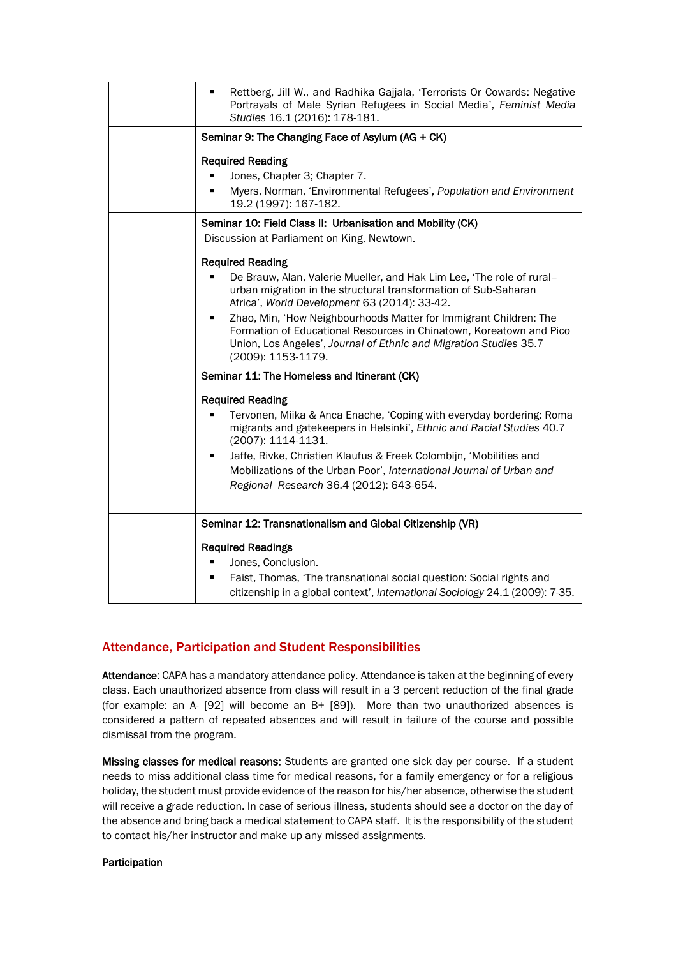| Rettberg, Jill W., and Radhika Gajjala, 'Terrorists Or Cowards: Negative<br>٠<br>Portrayals of Male Syrian Refugees in Social Media', Feminist Media<br>Studies 16.1 (2016): 178-181.                                                                                                                                                                                                                                                                           |
|-----------------------------------------------------------------------------------------------------------------------------------------------------------------------------------------------------------------------------------------------------------------------------------------------------------------------------------------------------------------------------------------------------------------------------------------------------------------|
| Seminar 9: The Changing Face of Asylum (AG + CK)                                                                                                                                                                                                                                                                                                                                                                                                                |
| <b>Required Reading</b><br>Jones, Chapter 3; Chapter 7.<br>Myers, Norman, 'Environmental Refugees', Population and Environment<br>٠<br>19.2 (1997): 167-182.                                                                                                                                                                                                                                                                                                    |
| Seminar 10: Field Class II: Urbanisation and Mobility (CK)<br>Discussion at Parliament on King, Newtown.                                                                                                                                                                                                                                                                                                                                                        |
| <b>Required Reading</b><br>De Brauw, Alan, Valerie Mueller, and Hak Lim Lee, 'The role of rural-<br>urban migration in the structural transformation of Sub-Saharan<br>Africa', World Development 63 (2014): 33-42.<br>Zhao, Min, 'How Neighbourhoods Matter for Immigrant Children: The<br>٠<br>Formation of Educational Resources in Chinatown, Koreatown and Pico<br>Union, Los Angeles', Journal of Ethnic and Migration Studies 35.7<br>(2009): 1153-1179. |
| Seminar 11: The Homeless and Itinerant (CK)                                                                                                                                                                                                                                                                                                                                                                                                                     |
| <b>Required Reading</b><br>Tervonen, Miika & Anca Enache, 'Coping with everyday bordering: Roma<br>٠<br>migrants and gatekeepers in Helsinki', Ethnic and Racial Studies 40.7<br>(2007): 1114-1131.<br>Jaffe, Rivke, Christien Klaufus & Freek Colombijn, 'Mobilities and<br>٠<br>Mobilizations of the Urban Poor', International Journal of Urban and<br>Regional Research 36.4 (2012): 643-654.                                                               |
| Seminar 12: Transnationalism and Global Citizenship (VR)                                                                                                                                                                                                                                                                                                                                                                                                        |
| <b>Required Readings</b><br>Jones, Conclusion.<br>Faist, Thomas, 'The transnational social question: Social rights and<br>citizenship in a global context', International Sociology 24.1 (2009): 7-35.                                                                                                                                                                                                                                                          |

# Attendance, Participation and Student Responsibilities

Attendance: CAPA has a mandatory attendance policy. Attendance is taken at the beginning of every class. Each unauthorized absence from class will result in a 3 percent reduction of the final grade (for example: an A- [92] will become an B+ [89]). More than two unauthorized absences is considered a pattern of repeated absences and will result in failure of the course and possible dismissal from the program.

Missing classes for medical reasons: Students are granted one sick day per course. If a student needs to miss additional class time for medical reasons, for a family emergency or for a religious holiday, the student must provide evidence of the reason for his/her absence, otherwise the student will receive a grade reduction. In case of serious illness, students should see a doctor on the day of the absence and bring back a medical statement to CAPA staff. It is the responsibility of the student to contact his/her instructor and make up any missed assignments.

#### Participation